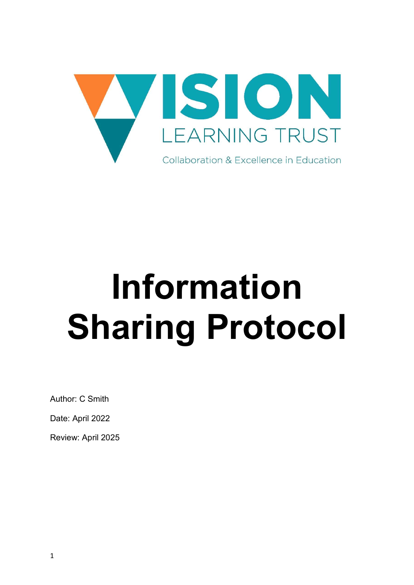

# Information Sharing Protocol

Author: C Smith

Date: April 2022

Review: April 2025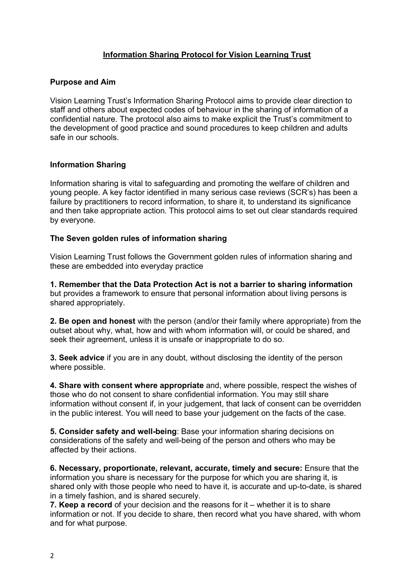# Information Sharing Protocol for Vision Learning Trust

### Purpose and Aim

Vision Learning Trust's Information Sharing Protocol aims to provide clear direction to staff and others about expected codes of behaviour in the sharing of information of a confidential nature. The protocol also aims to make explicit the Trust's commitment to the development of good practice and sound procedures to keep children and adults safe in our schools.

## Information Sharing

Information sharing is vital to safeguarding and promoting the welfare of children and young people. A key factor identified in many serious case reviews (SCR's) has been a failure by practitioners to record information, to share it, to understand its significance and then take appropriate action. This protocol aims to set out clear standards required by everyone.

## The Seven golden rules of information sharing

Vision Learning Trust follows the Government golden rules of information sharing and these are embedded into everyday practice

1. Remember that the Data Protection Act is not a barrier to sharing information but provides a framework to ensure that personal information about living persons is shared appropriately.

2. Be open and honest with the person (and/or their family where appropriate) from the outset about why, what, how and with whom information will, or could be shared, and seek their agreement, unless it is unsafe or inappropriate to do so.

3. Seek advice if you are in any doubt, without disclosing the identity of the person where possible.

4. Share with consent where appropriate and, where possible, respect the wishes of those who do not consent to share confidential information. You may still share information without consent if, in your judgement, that lack of consent can be overridden in the public interest. You will need to base your judgement on the facts of the case.

5. Consider safety and well-being: Base your information sharing decisions on considerations of the safety and well-being of the person and others who may be affected by their actions.

6. Necessary, proportionate, relevant, accurate, timely and secure: Ensure that the information you share is necessary for the purpose for which you are sharing it, is shared only with those people who need to have it, is accurate and up-to-date, is shared in a timely fashion, and is shared securely.

7. Keep a record of your decision and the reasons for it – whether it is to share information or not. If you decide to share, then record what you have shared, with whom and for what purpose.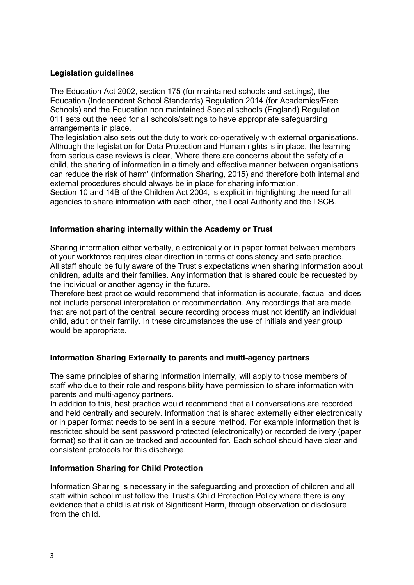## Legislation guidelines

The Education Act 2002, section 175 (for maintained schools and settings), the Education (Independent School Standards) Regulation 2014 (for Academies/Free Schools) and the Education non maintained Special schools (England) Regulation 011 sets out the need for all schools/settings to have appropriate safeguarding arrangements in place.

The legislation also sets out the duty to work co-operatively with external organisations. Although the legislation for Data Protection and Human rights is in place, the learning from serious case reviews is clear, 'Where there are concerns about the safety of a child, the sharing of information in a timely and effective manner between organisations can reduce the risk of harm' (Information Sharing, 2015) and therefore both internal and external procedures should always be in place for sharing information.

Section 10 and 14B of the Children Act 2004, is explicit in highlighting the need for all agencies to share information with each other, the Local Authority and the LSCB.

#### Information sharing internally within the Academy or Trust

Sharing information either verbally, electronically or in paper format between members of your workforce requires clear direction in terms of consistency and safe practice. All staff should be fully aware of the Trust's expectations when sharing information about children, adults and their families. Any information that is shared could be requested by the individual or another agency in the future.

Therefore best practice would recommend that information is accurate, factual and does not include personal interpretation or recommendation. Any recordings that are made that are not part of the central, secure recording process must not identify an individual child, adult or their family. In these circumstances the use of initials and year group would be appropriate.

#### Information Sharing Externally to parents and multi-agency partners

The same principles of sharing information internally, will apply to those members of staff who due to their role and responsibility have permission to share information with parents and multi-agency partners.

In addition to this, best practice would recommend that all conversations are recorded and held centrally and securely. Information that is shared externally either electronically or in paper format needs to be sent in a secure method. For example information that is restricted should be sent password protected (electronically) or recorded delivery (paper format) so that it can be tracked and accounted for. Each school should have clear and consistent protocols for this discharge.

#### Information Sharing for Child Protection

Information Sharing is necessary in the safeguarding and protection of children and all staff within school must follow the Trust's Child Protection Policy where there is any evidence that a child is at risk of Significant Harm, through observation or disclosure from the child.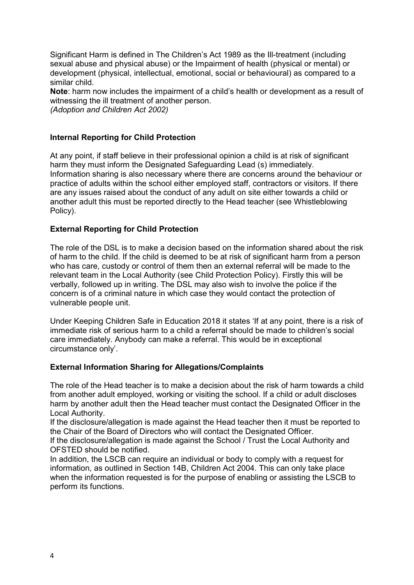Significant Harm is defined in The Children's Act 1989 as the Ill-treatment (including sexual abuse and physical abuse) or the Impairment of health (physical or mental) or development (physical, intellectual, emotional, social or behavioural) as compared to a similar child.

Note: harm now includes the impairment of a child's health or development as a result of witnessing the ill treatment of another person.

(Adoption and Children Act 2002)

# Internal Reporting for Child Protection

At any point, if staff believe in their professional opinion a child is at risk of significant harm they must inform the Designated Safeguarding Lead (s) immediately. Information sharing is also necessary where there are concerns around the behaviour or practice of adults within the school either employed staff, contractors or visitors. If there are any issues raised about the conduct of any adult on site either towards a child or another adult this must be reported directly to the Head teacher (see Whistleblowing Policy).

# External Reporting for Child Protection

The role of the DSL is to make a decision based on the information shared about the risk of harm to the child. If the child is deemed to be at risk of significant harm from a person who has care, custody or control of them then an external referral will be made to the relevant team in the Local Authority (see Child Protection Policy). Firstly this will be verbally, followed up in writing. The DSL may also wish to involve the police if the concern is of a criminal nature in which case they would contact the protection of vulnerable people unit.

Under Keeping Children Safe in Education 2018 it states 'If at any point, there is a risk of immediate risk of serious harm to a child a referral should be made to children's social care immediately. Anybody can make a referral. This would be in exceptional circumstance only'.

# External Information Sharing for Allegations/Complaints

The role of the Head teacher is to make a decision about the risk of harm towards a child from another adult employed, working or visiting the school. If a child or adult discloses harm by another adult then the Head teacher must contact the Designated Officer in the Local Authority.

If the disclosure/allegation is made against the Head teacher then it must be reported to the Chair of the Board of Directors who will contact the Designated Officer.

If the disclosure/allegation is made against the School / Trust the Local Authority and OFSTED should be notified.

In addition, the LSCB can require an individual or body to comply with a request for information, as outlined in Section 14B, Children Act 2004. This can only take place when the information requested is for the purpose of enabling or assisting the LSCB to perform its functions.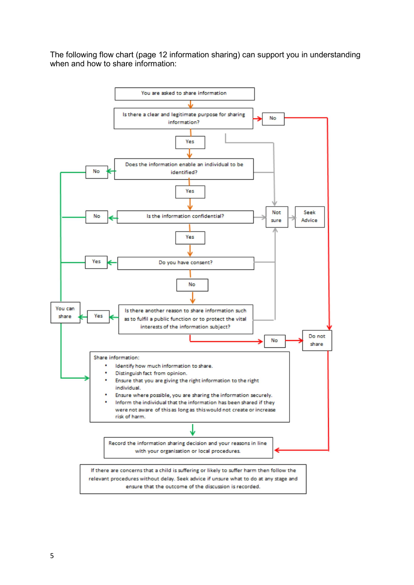The following flow chart (page 12 information sharing) can support you in understanding when and how to share information: